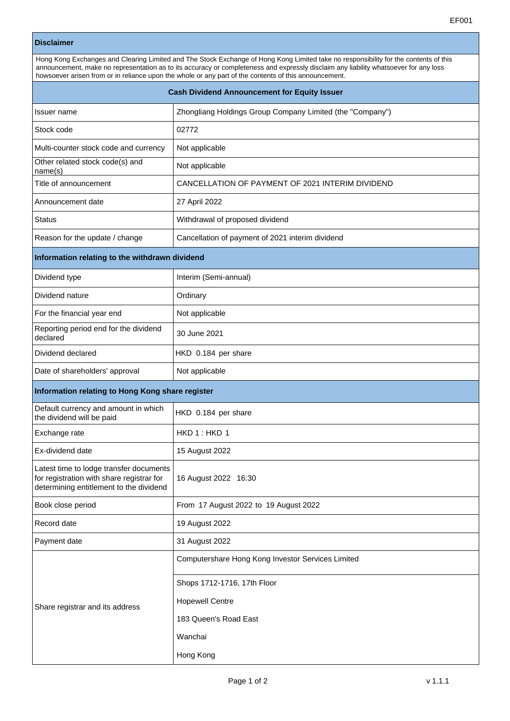## **Disclaimer**

| Hong Kong Exchanges and Clearing Limited and The Stock Exchange of Hong Kong Limited take no responsibility for the contents of this<br>announcement, make no representation as to its accuracy or completeness and expressly disclaim any liability whatsoever for any loss<br>howsoever arisen from or in reliance upon the whole or any part of the contents of this announcement. |                                                                                  |  |
|---------------------------------------------------------------------------------------------------------------------------------------------------------------------------------------------------------------------------------------------------------------------------------------------------------------------------------------------------------------------------------------|----------------------------------------------------------------------------------|--|
| <b>Cash Dividend Announcement for Equity Issuer</b>                                                                                                                                                                                                                                                                                                                                   |                                                                                  |  |
| Issuer name                                                                                                                                                                                                                                                                                                                                                                           | Zhongliang Holdings Group Company Limited (the "Company")                        |  |
| Stock code                                                                                                                                                                                                                                                                                                                                                                            | 02772                                                                            |  |
| Multi-counter stock code and currency                                                                                                                                                                                                                                                                                                                                                 | Not applicable                                                                   |  |
| Other related stock code(s) and<br>name(s)                                                                                                                                                                                                                                                                                                                                            | Not applicable                                                                   |  |
| Title of announcement                                                                                                                                                                                                                                                                                                                                                                 | CANCELLATION OF PAYMENT OF 2021 INTERIM DIVIDEND                                 |  |
| Announcement date                                                                                                                                                                                                                                                                                                                                                                     | 27 April 2022                                                                    |  |
| Status                                                                                                                                                                                                                                                                                                                                                                                | Withdrawal of proposed dividend                                                  |  |
| Reason for the update / change                                                                                                                                                                                                                                                                                                                                                        | Cancellation of payment of 2021 interim dividend                                 |  |
| Information relating to the withdrawn dividend                                                                                                                                                                                                                                                                                                                                        |                                                                                  |  |
| Dividend type                                                                                                                                                                                                                                                                                                                                                                         | Interim (Semi-annual)                                                            |  |
| Dividend nature                                                                                                                                                                                                                                                                                                                                                                       | Ordinary                                                                         |  |
| For the financial year end                                                                                                                                                                                                                                                                                                                                                            | Not applicable                                                                   |  |
| Reporting period end for the dividend<br>declared                                                                                                                                                                                                                                                                                                                                     | 30 June 2021                                                                     |  |
| Dividend declared                                                                                                                                                                                                                                                                                                                                                                     | HKD 0.184 per share                                                              |  |
| Date of shareholders' approval                                                                                                                                                                                                                                                                                                                                                        | Not applicable                                                                   |  |
| Information relating to Hong Kong share register                                                                                                                                                                                                                                                                                                                                      |                                                                                  |  |
| Default currency and amount in which<br>the dividend will be paid                                                                                                                                                                                                                                                                                                                     | HKD 0.184 per share                                                              |  |
| Exchange rate                                                                                                                                                                                                                                                                                                                                                                         | HKD 1 : HKD 1                                                                    |  |
| Ex-dividend date                                                                                                                                                                                                                                                                                                                                                                      | 15 August 2022                                                                   |  |
| Latest time to lodge transfer documents<br>for registration with share registrar for<br>determining entitlement to the dividend                                                                                                                                                                                                                                                       | 16 August 2022 16:30                                                             |  |
| Book close period                                                                                                                                                                                                                                                                                                                                                                     | From 17 August 2022 to 19 August 2022                                            |  |
| Record date                                                                                                                                                                                                                                                                                                                                                                           | 19 August 2022                                                                   |  |
| Payment date                                                                                                                                                                                                                                                                                                                                                                          | 31 August 2022                                                                   |  |
| Share registrar and its address                                                                                                                                                                                                                                                                                                                                                       | Computershare Hong Kong Investor Services Limited<br>Shops 1712-1716, 17th Floor |  |
|                                                                                                                                                                                                                                                                                                                                                                                       | <b>Hopewell Centre</b>                                                           |  |
|                                                                                                                                                                                                                                                                                                                                                                                       | 183 Queen's Road East                                                            |  |
|                                                                                                                                                                                                                                                                                                                                                                                       | Wanchai                                                                          |  |
|                                                                                                                                                                                                                                                                                                                                                                                       | Hong Kong                                                                        |  |